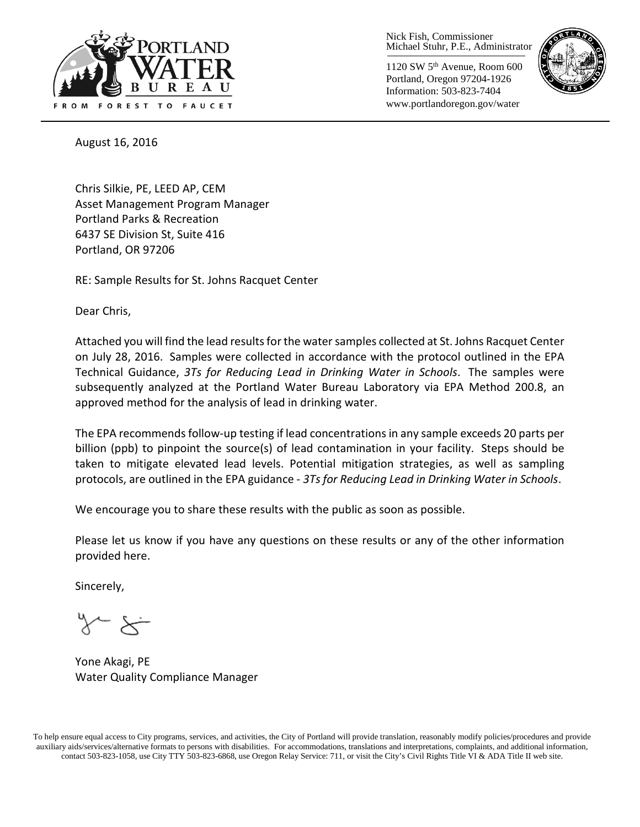

Nick Fish, Commissioner Michael Stuhr, P.E., Administrator

1120 SW 5th Avenue, Room 600 Portland, Oregon 97204-1926 Information: 503-823-7404 www.portlandoregon.gov/water



August 16, 2016

Chris Silkie, PE, LEED AP, CEM Asset Management Program Manager Portland Parks & Recreation 6437 SE Division St, Suite 416 Portland, OR 97206

RE: Sample Results for St. Johns Racquet Center

Dear Chris,

Attached you will find the lead results for the water samples collected at St. Johns Racquet Center on July 28, 2016. Samples were collected in accordance with the protocol outlined in the EPA Technical Guidance, *3Ts for Reducing Lead in Drinking Water in Schools*. The samples were subsequently analyzed at the Portland Water Bureau Laboratory via EPA Method 200.8, an approved method for the analysis of lead in drinking water.

The EPA recommends follow-up testing if lead concentrations in any sample exceeds 20 parts per billion (ppb) to pinpoint the source(s) of lead contamination in your facility. Steps should be taken to mitigate elevated lead levels. Potential mitigation strategies, as well as sampling protocols, are outlined in the EPA guidance - *3Ts for Reducing Lead in Drinking Water in Schools*.

We encourage you to share these results with the public as soon as possible.

Please let us know if you have any questions on these results or any of the other information provided here.

Sincerely,

Yone Akagi, PE Water Quality Compliance Manager

To help ensure equal access to City programs, services, and activities, the City of Portland will provide translation, reasonably modify policies/procedures and provide auxiliary aids/services/alternative formats to persons with disabilities. For accommodations, translations and interpretations, complaints, and additional information, contact 503-823-1058, use City TTY 503-823-6868, use Oregon Relay Service: 711, or visi[t the City's Civil Rights Title VI & ADA Title II web site.](http://www.portlandoregon.gov/oehr/66458)